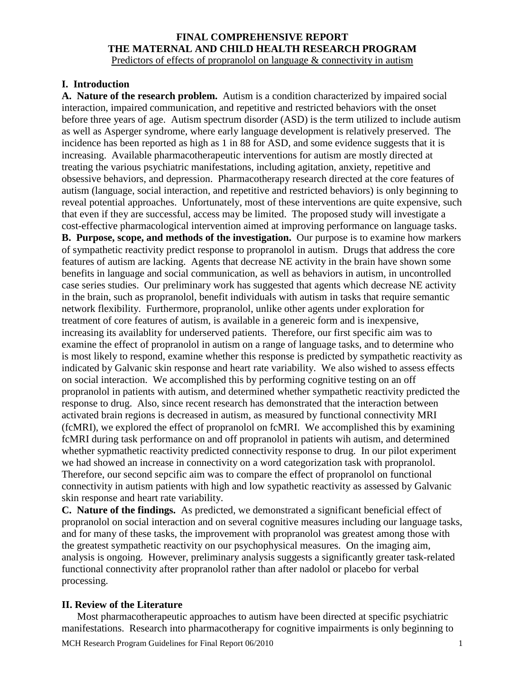#### **FINAL COMPREHENSIVE REPORT THE MATERNAL AND CHILD HEALTH RESEARCH PROGRAM** Predictors of effects of propranolol on language & connectivity in autism

### **I. Introduction**

**A. Nature of the research problem.** Autism is a condition characterized by impaired social interaction, impaired communication, and repetitive and restricted behaviors with the onset before three years of age. Autism spectrum disorder (ASD) is the term utilized to include autism as well as Asperger syndrome, where early language development is relatively preserved. The incidence has been reported as high as 1 in 88 for ASD, and some evidence suggests that it is increasing. Available pharmacotherapeutic interventions for autism are mostly directed at treating the various psychiatric manifestations, including agitation, anxiety, repetitive and obsessive behaviors, and depression. Pharmacotherapy research directed at the core features of autism (language, social interaction, and repetitive and restricted behaviors) is only beginning to reveal potential approaches. Unfortunately, most of these interventions are quite expensive, such that even if they are successful, access may be limited. The proposed study will investigate a cost-effective pharmacological intervention aimed at improving performance on language tasks.

**B. Purpose, scope, and methods of the investigation.** Our purpose is to examine how markers of sympathetic reactivity predict response to propranolol in autism. Drugs that address the core features of autism are lacking. Agents that decrease NE activity in the brain have shown some benefits in language and social communication, as well as behaviors in autism, in uncontrolled case series studies. Our preliminary work has suggested that agents which decrease NE activity in the brain, such as propranolol, benefit individuals with autism in tasks that require semantic network flexibility. Furthermore, propranolol, unlike other agents under exploration for treatment of core features of autism, is available in a genereic form and is inexpensive, increasing its availablity for underserved patients. Therefore, our first specific aim was to examine the effect of propranolol in autism on a range of language tasks, and to determine who is most likely to respond, examine whether this response is predicted by sympathetic reactivity as indicated by Galvanic skin response and heart rate variability. We also wished to assess effects on social interaction. We accomplished this by performing cognitive testing on an off propranolol in patients with autism, and determined whether sympathetic reactivity predicted the response to drug. Also, since recent research has demonstrated that the interaction between activated brain regions is decreased in autism, as measured by functional connectivity MRI (fcMRI), we explored the effect of propranolol on fcMRI. We accomplished this by examining fcMRI during task performance on and off propranolol in patients wih autism, and determined whether sypmathetic reactivity predicted connectivity response to drug. In our pilot experiment we had showed an increase in connectivity on a word categorization task with propranolol. Therefore, our second sepcific aim was to compare the effect of propranolol on functional connectivity in autism patients with high and low sypathetic reactivity as assessed by Galvanic skin response and heart rate variability.

**C. Nature of the findings.** As predicted, we demonstrated a significant beneficial effect of propranolol on social interaction and on several cognitive measures including our language tasks, and for many of these tasks, the improvement with propranolol was greatest among those with the greatest sympathetic reactivity on our psychophysical measures. On the imaging aim, analysis is ongoing. However, preliminary analysis suggests a significantly greater task-related functional connectivity after propranolol rather than after nadolol or placebo for verbal processing.

#### **II. Review of the Literature**

Most pharmacotherapeutic approaches to autism have been directed at specific psychiatric manifestations. Research into pharmacotherapy for cognitive impairments is only beginning to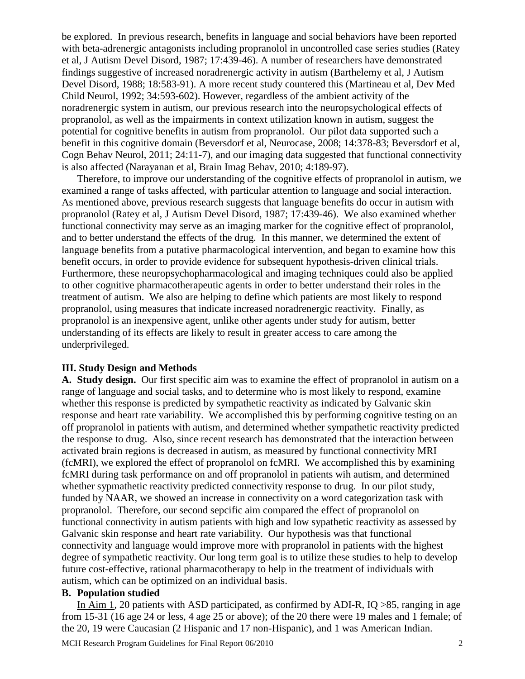be explored. In previous research, benefits in language and social behaviors have been reported with beta-adrenergic antagonists including propranolol in uncontrolled case series studies (Ratey et al, J Autism Devel Disord, 1987; 17:439-46). A number of researchers have demonstrated findings suggestive of increased noradrenergic activity in autism (Barthelemy et al, J Autism Devel Disord, 1988; 18:583-91). A more recent study countered this (Martineau et al, Dev Med Child Neurol, 1992; 34:593-602). However, regardless of the ambient activity of the noradrenergic system in autism, our previous research into the neuropsychological effects of propranolol, as well as the impairments in context utilization known in autism, suggest the potential for cognitive benefits in autism from propranolol. Our pilot data supported such a benefit in this cognitive domain (Beversdorf et al, Neurocase, 2008; 14:378-83; Beversdorf et al, Cogn Behav Neurol, 2011; 24:11-7), and our imaging data suggested that functional connectivity is also affected (Narayanan et al, Brain Imag Behav, 2010; 4:189-97).

Therefore, to improve our understanding of the cognitive effects of propranolol in autism, we examined a range of tasks affected, with particular attention to language and social interaction. As mentioned above, previous research suggests that language benefits do occur in autism with propranolol (Ratey et al, J Autism Devel Disord, 1987; 17:439-46). We also examined whether functional connectivity may serve as an imaging marker for the cognitive effect of propranolol, and to better understand the effects of the drug. In this manner, we determined the extent of language benefits from a putative pharmacological intervention, and began to examine how this benefit occurs, in order to provide evidence for subsequent hypothesis-driven clinical trials. Furthermore, these neuropsychopharmacological and imaging techniques could also be applied to other cognitive pharmacotherapeutic agents in order to better understand their roles in the treatment of autism. We also are helping to define which patients are most likely to respond propranolol, using measures that indicate increased noradrenergic reactivity. Finally, as propranolol is an inexpensive agent, unlike other agents under study for autism, better understanding of its effects are likely to result in greater access to care among the underprivileged.

### **III. Study Design and Methods**

**A. Study design.** Our first specific aim was to examine the effect of propranolol in autism on a range of language and social tasks, and to determine who is most likely to respond, examine whether this response is predicted by sympathetic reactivity as indicated by Galvanic skin response and heart rate variability. We accomplished this by performing cognitive testing on an off propranolol in patients with autism, and determined whether sympathetic reactivity predicted the response to drug. Also, since recent research has demonstrated that the interaction between activated brain regions is decreased in autism, as measured by functional connectivity MRI (fcMRI), we explored the effect of propranolol on fcMRI. We accomplished this by examining fcMRI during task performance on and off propranolol in patients wih autism, and determined whether sypmathetic reactivity predicted connectivity response to drug. In our pilot study, funded by NAAR, we showed an increase in connectivity on a word categorization task with propranolol. Therefore, our second sepcific aim compared the effect of propranolol on functional connectivity in autism patients with high and low sypathetic reactivity as assessed by Galvanic skin response and heart rate variability. Our hypothesis was that functional connectivity and language would improve more with propranolol in patients with the highest degree of sympathetic reactivity. Our long term goal is to utilize these studies to help to develop future cost-effective, rational pharmacotherapy to help in the treatment of individuals with autism, which can be optimized on an individual basis.

### **B. Population studied**

In Aim 1, 20 patients with ASD participated, as confirmed by ADI-R, IQ >85, ranging in age from 15-31 (16 age 24 or less, 4 age 25 or above); of the 20 there were 19 males and 1 female; of the 20, 19 were Caucasian (2 Hispanic and 17 non-Hispanic), and 1 was American Indian.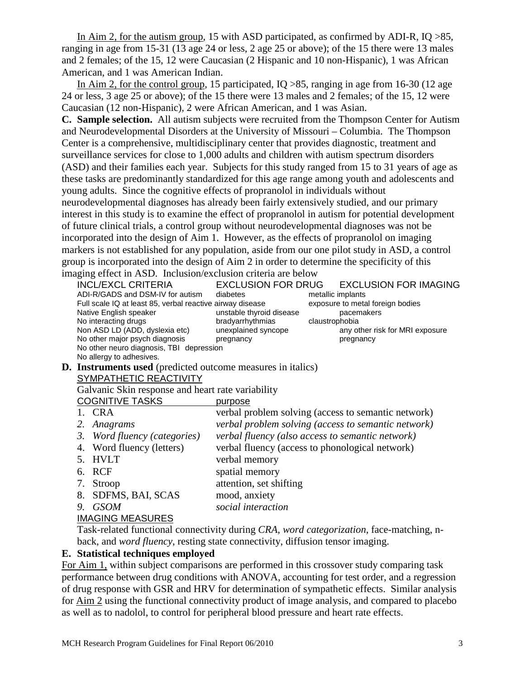In Aim 2, for the autism group, 15 with ASD participated, as confirmed by ADI-R, IQ >85, ranging in age from 15-31 (13 age 24 or less, 2 age 25 or above); of the 15 there were 13 males and 2 females; of the 15, 12 were Caucasian (2 Hispanic and 10 non-Hispanic), 1 was African American, and 1 was American Indian.

In Aim 2, for the control group, 15 participated, IQ >85, ranging in age from 16-30 (12 age 24 or less, 3 age 25 or above); of the 15 there were 13 males and 2 females; of the 15, 12 were Caucasian (12 non-Hispanic), 2 were African American, and 1 was Asian.

**C. Sample selection.** All autism subjects were recruited from the Thompson Center for Autism and Neurodevelopmental Disorders at the University of Missouri – Columbia. The Thompson Center is a comprehensive, multidisciplinary center that provides diagnostic, treatment and surveillance services for close to 1,000 adults and children with autism spectrum disorders (ASD) and their families each year. Subjects for this study ranged from 15 to 31 years of age as these tasks are predominantly standardized for this age range among youth and adolescents and young adults. Since the cognitive effects of propranolol in individuals without neurodevelopmental diagnoses has already been fairly extensively studied, and our primary interest in this study is to examine the effect of propranolol in autism for potential development of future clinical trials, a control group without neurodevelopmental diagnoses was not be incorporated into the design of Aim 1. However, as the effects of propranolol on imaging markers is not established for any population, aside from our one pilot study in ASD, a control group is incorporated into the design of Aim 2 in order to determine the specificity of this imaging effect in ASD. Inclusion/exclusion criteria are below

|    |                                                   | INCL/EXCL CRITERIA                                                            | <b>EXCLUSION FOR DRUG</b>                       |                | <b>EXCLUSION FOR IMAGING</b>                        |  |
|----|---------------------------------------------------|-------------------------------------------------------------------------------|-------------------------------------------------|----------------|-----------------------------------------------------|--|
|    |                                                   | ADI-R/GADS and DSM-IV for autism                                              | diabetes                                        |                | metallic implants                                   |  |
|    |                                                   | Full scale IQ at least 85, verbal reactive airway disease                     |                                                 |                | exposure to metal foreign bodies                    |  |
|    |                                                   | Native English speaker                                                        | unstable thyroid disease                        |                | pacemakers                                          |  |
|    |                                                   | No interacting drugs                                                          | bradyarrhythmias                                | claustrophobia |                                                     |  |
|    |                                                   | Non ASD LD (ADD, dyslexia etc)                                                | unexplained syncope                             |                | any other risk for MRI exposure                     |  |
|    |                                                   | No other major psych diagnosis<br>No other neuro diagnosis, TBI depression    | pregnancy                                       |                | pregnancy                                           |  |
|    |                                                   | No allergy to adhesives.                                                      |                                                 |                |                                                     |  |
| D. |                                                   | <b>Instruments used</b> (predicted outcome measures in italics)               |                                                 |                |                                                     |  |
|    | SYMPATHETIC REACTIVITY                            |                                                                               |                                                 |                |                                                     |  |
|    | Galvanic Skin response and heart rate variability |                                                                               |                                                 |                |                                                     |  |
|    | <b>COGNITIVE TASKS</b>                            |                                                                               |                                                 |                |                                                     |  |
|    |                                                   |                                                                               | purpose                                         |                |                                                     |  |
|    |                                                   | 1. CRA                                                                        |                                                 |                | verbal problem solving (access to semantic network) |  |
|    | 2.                                                | Anagrams                                                                      |                                                 |                | verbal problem solving (access to semantic network) |  |
|    | 3.                                                | verbal fluency (also access to semantic network)<br>Word fluency (categories) |                                                 |                |                                                     |  |
|    | Word fluency (letters)<br>4.                      |                                                                               | verbal fluency (access to phonological network) |                |                                                     |  |
|    | <b>HVLT</b><br>5.                                 |                                                                               | verbal memory                                   |                |                                                     |  |
|    | 6.                                                | RCF                                                                           | spatial memory                                  |                |                                                     |  |
|    | 7.                                                | Stroop                                                                        | attention, set shifting                         |                |                                                     |  |
|    |                                                   | 8. SDFMS, BAI, SCAS                                                           | mood, anxiety                                   |                |                                                     |  |
|    | 9.                                                | <b>GSOM</b>                                                                   | social interaction                              |                |                                                     |  |
|    |                                                   | <b>IMAGING MEASURES</b>                                                       |                                                 |                |                                                     |  |

Task-related functional connectivity during *CRA*, *word categorization*, face-matching, nback, and *word fluency*, resting state connectivity, diffusion tensor imaging.

## **E. Statistical techniques employed**

For Aim 1, within subject comparisons are performed in this crossover study comparing task performance between drug conditions with ANOVA, accounting for test order, and a regression of drug response with GSR and HRV for determination of sympathetic effects. Similar analysis for Aim 2 using the functional connectivity product of image analysis, and compared to placebo as well as to nadolol, to control for peripheral blood pressure and heart rate effects.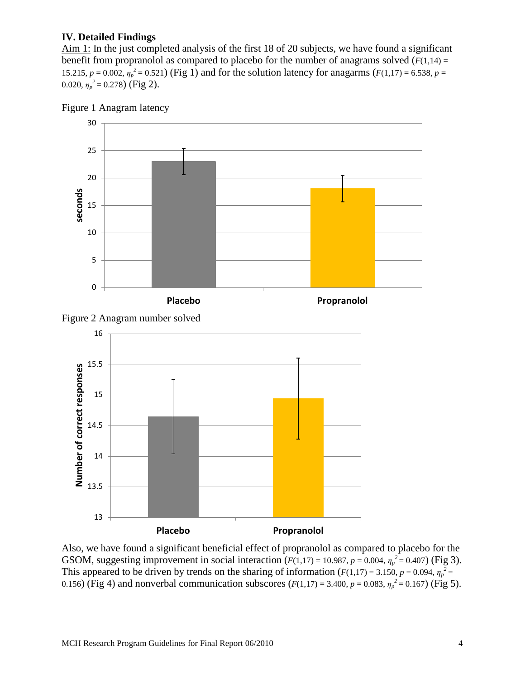## **IV. Detailed Findings**

Aim 1: In the just completed analysis of the first 18 of 20 subjects, we have found a significant benefit from propranolol as compared to placebo for the number of anagrams solved  $(F(1,14) =$ 15.215,  $p = 0.002$ ,  $\eta_p^2 = 0.521$ ) (Fig 1) and for the solution latency for anagarms ( $F(1,17) = 6.538$ ,  $p =$ 0.020,  $\eta_p^2 = 0.278$ ) (Fig 2).









Also, we have found a significant beneficial effect of propranolol as compared to placebo for the GSOM, suggesting improvement in social interaction  $(F(1,17) = 10.987, p = 0.004, \eta_p^2 = 0.407)$  (Fig 3). This appeared to be driven by trends on the sharing of information ( $F(1,17) = 3.150$ ,  $p = 0.094$ ,  $\eta_p^2 =$ 0.156) (Fig 4) and nonverbal communication subscores ( $F(1,17) = 3.400$ ,  $p = 0.083$ ,  $\eta_p^2 = 0.167$ ) (Fig 5).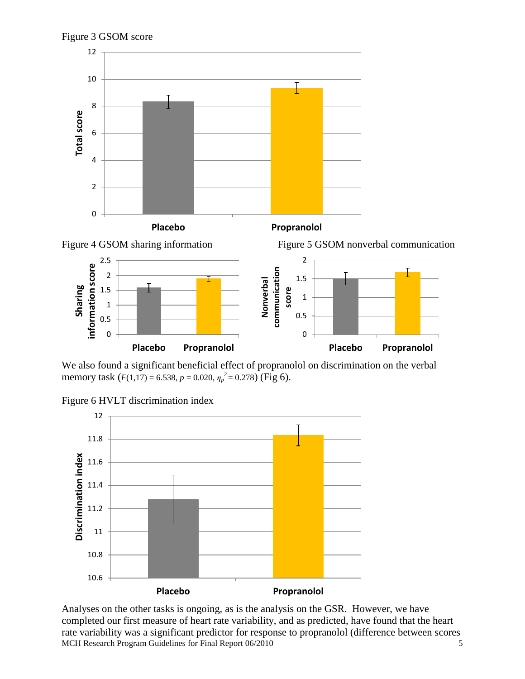



We also found a significant beneficial effect of propranolol on discrimination on the verbal memory task (*F*(1,17) = 6.538, *p* = 0.020, *η<sup>p</sup> <sup>2</sup>* = 0.278) (Fig 6).





Analyses on the other tasks is ongoing, as is the analysis on the GSR. However, we have completed our first measure of heart rate variability, and as predicted, have found that the heart rate variability was a significant predictor for response to propranolol (difference between scores MCH Research Program Guidelines for Final Report 06/2010 5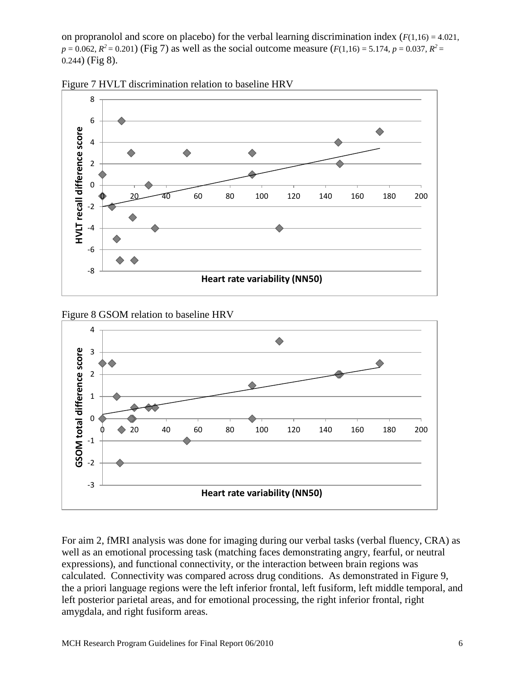on propranolol and score on placebo) for the verbal learning discrimination index  $(F(1,16) = 4.021,$  $p = 0.062$ ,  $R^2 = 0.201$ ) (Fig 7) as well as the social outcome measure ( $F(1,16) = 5.174$ ,  $p = 0.037$ ,  $R^2 =$ 0.244) (Fig 8).





Figure 8 GSOM relation to baseline HRV



For aim 2, fMRI analysis was done for imaging during our verbal tasks (verbal fluency, CRA) as well as an emotional processing task (matching faces demonstrating angry, fearful, or neutral expressions), and functional connectivity, or the interaction between brain regions was calculated. Connectivity was compared across drug conditions. As demonstrated in Figure 9, the a priori language regions were the left inferior frontal, left fusiform, left middle temporal, and left posterior parietal areas, and for emotional processing, the right inferior frontal, right amygdala, and right fusiform areas.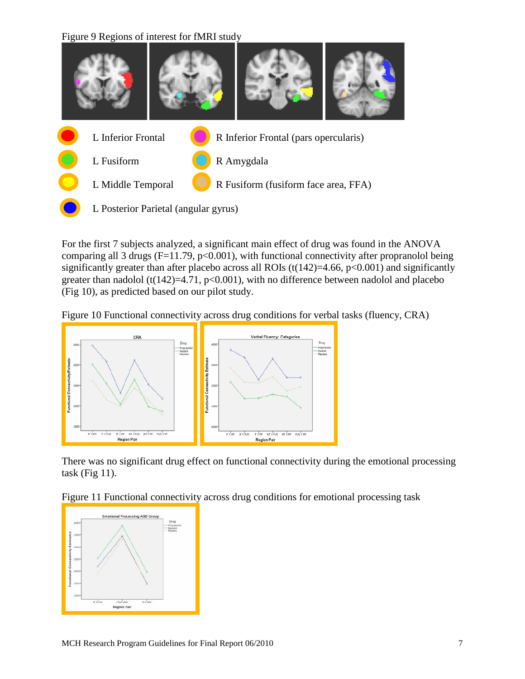Figure 9 Regions of interest for fMRI study



For the first 7 subjects analyzed, a significant main effect of drug was found in the ANOVA comparing all 3 drugs ( $F=11.79$ , p<0.001), with functional connectivity after propranolol being significantly greater than after placebo across all ROIs  $(t(142)=4.66, p<0.001)$  and significantly greater than nadolol (t(142)=4.71,  $p<0.001$ ), with no difference between nadolol and placebo (Fig 10), as predicted based on our pilot study.

Figure 10 Functional connectivity across drug conditions for verbal tasks (fluency, CRA)



There was no significant drug effect on functional connectivity during the emotional processing task (Fig  $11$ ).

Figure 11 Functional connectivity across drug conditions for emotional processing task

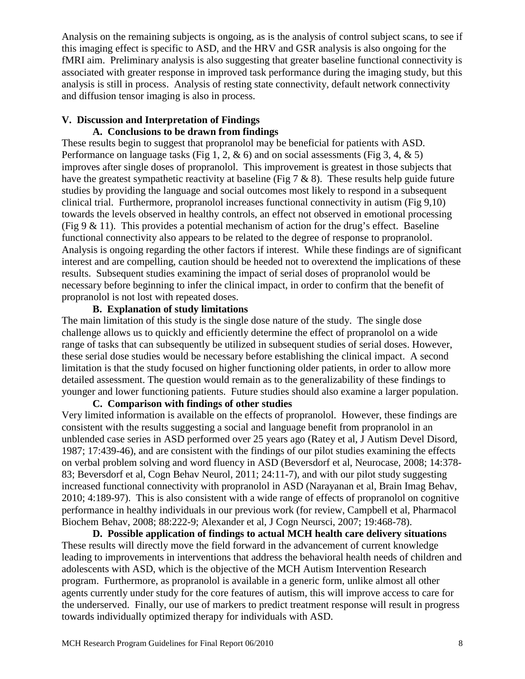Analysis on the remaining subjects is ongoing, as is the analysis of control subject scans, to see if this imaging effect is specific to ASD, and the HRV and GSR analysis is also ongoing for the fMRI aim. Preliminary analysis is also suggesting that greater baseline functional connectivity is associated with greater response in improved task performance during the imaging study, but this analysis is still in process. Analysis of resting state connectivity, default network connectivity and diffusion tensor imaging is also in process.

#### **V. Discussion and Interpretation of Findings A. Conclusions to be drawn from findings**

These results begin to suggest that propranolol may be beneficial for patients with ASD. Performance on language tasks (Fig 1, 2,  $\&$  6) and on social assessments (Fig 3, 4,  $\&$  5) improves after single doses of propranolol. This improvement is greatest in those subjects that have the greatest sympathetic reactivity at baseline (Fig  $7 \& 8$ ). These results help guide future studies by providing the language and social outcomes most likely to respond in a subsequent clinical trial. Furthermore, propranolol increases functional connectivity in autism (Fig 9,10) towards the levels observed in healthy controls, an effect not observed in emotional processing (Fig 9  $\&$  11). This provides a potential mechanism of action for the drug's effect. Baseline functional connectivity also appears to be related to the degree of response to propranolol. Analysis is ongoing regarding the other factors if interest. While these findings are of significant interest and are compelling, caution should be heeded not to overextend the implications of these results. Subsequent studies examining the impact of serial doses of propranolol would be necessary before beginning to infer the clinical impact, in order to confirm that the benefit of propranolol is not lost with repeated doses.

# **B. Explanation of study limitations**

The main limitation of this study is the single dose nature of the study. The single dose challenge allows us to quickly and efficiently determine the effect of propranolol on a wide range of tasks that can subsequently be utilized in subsequent studies of serial doses. However, these serial dose studies would be necessary before establishing the clinical impact. A second limitation is that the study focused on higher functioning older patients, in order to allow more detailed assessment. The question would remain as to the generalizability of these findings to younger and lower functioning patients. Future studies should also examine a larger population.

# **C. Comparison with findings of other studies**

Very limited information is available on the effects of propranolol. However, these findings are consistent with the results suggesting a social and language benefit from propranolol in an unblended case series in ASD performed over 25 years ago (Ratey et al, J Autism Devel Disord, 1987; 17:439-46), and are consistent with the findings of our pilot studies examining the effects on verbal problem solving and word fluency in ASD (Beversdorf et al, Neurocase, 2008; 14:378- 83; Beversdorf et al, Cogn Behav Neurol, 2011; 24:11-7), and with our pilot study suggesting increased functional connectivity with propranolol in ASD (Narayanan et al, Brain Imag Behav, 2010; 4:189-97). This is also consistent with a wide range of effects of propranolol on cognitive performance in healthy individuals in our previous work (for review, Campbell et al, Pharmacol Biochem Behav, 2008; 88:222-9; Alexander et al, J Cogn Neursci, 2007; 19:468-78).

**D. Possible application of findings to actual MCH health care delivery situations**  These results will directly move the field forward in the advancement of current knowledge leading to improvements in interventions that address the behavioral health needs of children and adolescents with ASD, which is the objective of the MCH Autism Intervention Research program. Furthermore, as propranolol is available in a generic form, unlike almost all other agents currently under study for the core features of autism, this will improve access to care for the underserved. Finally, our use of markers to predict treatment response will result in progress towards individually optimized therapy for individuals with ASD.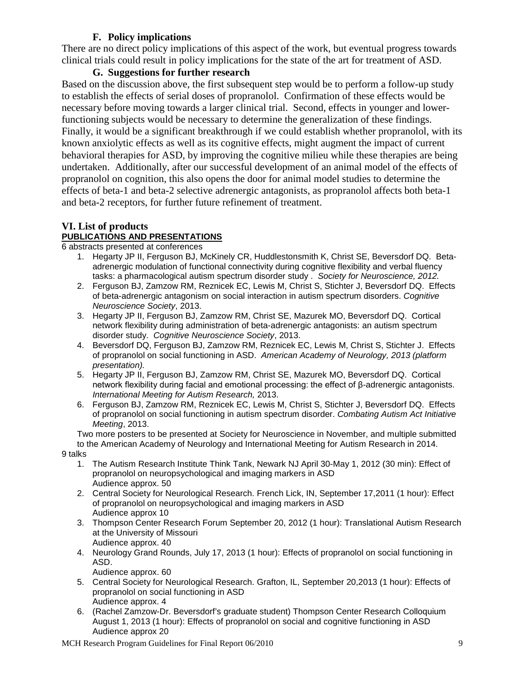# **F. Policy implications**

There are no direct policy implications of this aspect of the work, but eventual progress towards clinical trials could result in policy implications for the state of the art for treatment of ASD.

# **G. Suggestions for further research**

Based on the discussion above, the first subsequent step would be to perform a follow-up study to establish the effects of serial doses of propranolol. Confirmation of these effects would be necessary before moving towards a larger clinical trial. Second, effects in younger and lowerfunctioning subjects would be necessary to determine the generalization of these findings. Finally, it would be a significant breakthrough if we could establish whether propranolol, with its known anxiolytic effects as well as its cognitive effects, might augment the impact of current behavioral therapies for ASD, by improving the cognitive milieu while these therapies are being undertaken. Additionally, after our successful development of an animal model of the effects of propranolol on cognition, this also opens the door for animal model studies to determine the effects of beta-1 and beta-2 selective adrenergic antagonists, as propranolol affects both beta-1 and beta-2 receptors, for further future refinement of treatment.

## **VI. List of products PUBLICATIONS AND PRESENTATIONS**

6 abstracts presented at conferences

- 1. Hegarty JP II, Ferguson BJ, McKinely CR, Huddlestonsmith K, Christ SE, Beversdorf DQ. Betaadrenergic modulation of functional connectivity during cognitive flexibility and verbal fluency tasks: a pharmacological autism spectrum disorder study . *Society for Neuroscience, 2012.*
- 2. Ferguson BJ, Zamzow RM, Reznicek EC, Lewis M, Christ S, Stichter J, Beversdorf DQ. Effects of beta-adrenergic antagonism on social interaction in autism spectrum disorders. *Cognitive Neuroscience Society*, 2013.
- 3. Hegarty JP II, Ferguson BJ, Zamzow RM, Christ SE, Mazurek MO, Beversdorf DQ. Cortical network flexibility during administration of beta-adrenergic antagonists: an autism spectrum disorder study. *Cognitive Neuroscience Society*, 2013.
- 4. Beversdorf DQ, Ferguson BJ, Zamzow RM, Reznicek EC, Lewis M, Christ S, Stichter J. Effects of propranolol on social functioning in ASD. *American Academy of Neurology, 2013 (platform presentation).*
- 5. Hegarty JP II, Ferguson BJ, Zamzow RM, Christ SE, Mazurek MO, Beversdorf DQ. Cortical network flexibility during facial and emotional processing: the effect of β-adrenergic antagonists. *International Meeting for Autism Research,* 2013.
- 6. Ferguson BJ, Zamzow RM, Reznicek EC, Lewis M, Christ S, Stichter J, Beversdorf DQ. Effects of propranolol on social functioning in autism spectrum disorder. *Combating Autism Act Initiative Meeting*, 2013.

Two more posters to be presented at Society for Neuroscience in November, and multiple submitted to the American Academy of Neurology and International Meeting for Autism Research in 2014.

9 talks

- 1. The Autism Research Institute Think Tank, Newark NJ April 30-May 1, 2012 (30 min): Effect of propranolol on neuropsychological and imaging markers in ASD Audience approx. 50
- 2. Central Society for Neurological Research. French Lick, IN, September 17,2011 (1 hour): Effect of propranolol on neuropsychological and imaging markers in ASD Audience approx 10
- 3. Thompson Center Research Forum September 20, 2012 (1 hour): Translational Autism Research at the University of Missouri Audience approx. 40
- 4. Neurology Grand Rounds, July 17, 2013 (1 hour): Effects of propranolol on social functioning in ASD.

Audience approx. 60

- 5. Central Society for Neurological Research. Grafton, IL, September 20,2013 (1 hour): Effects of propranolol on social functioning in ASD Audience approx. 4
- 6. (Rachel Zamzow-Dr. Beversdorf's graduate student) Thompson Center Research Colloquium August 1, 2013 (1 hour): Effects of propranolol on social and cognitive functioning in ASD Audience approx 20

MCH Research Program Guidelines for Final Report 06/2010 99